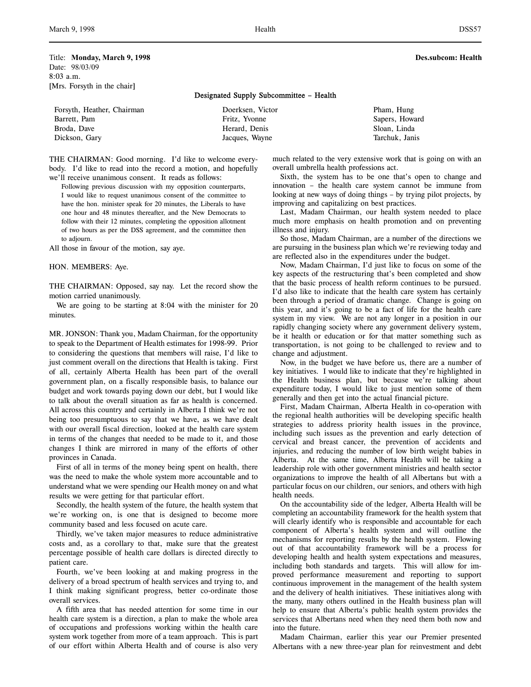Title: **Monday, March 9, 1998 Des.subcom: Health** Date: 98/03/09 8:03 a.m. [Mrs. Forsyth in the chair]

## Designated Supply Subcommittee – Health

| Forsyth, Heather, Chairman | Doerksen, Victor | Pham, Hung     |
|----------------------------|------------------|----------------|
| Barrett, Pam               | Fritz, Yvonne    | Sapers, Howard |
| Broda, Dave                | Herard, Denis    | Sloan, Linda   |
| Dickson, Gary              | Jacques, Wayne   | Tarchuk, Janis |

THE CHAIRMAN: Good morning. I'd like to welcome everybody. I'd like to read into the record a motion, and hopefully we'll receive unanimous consent. It reads as follows:

Following previous discussion with my opposition counterparts, I would like to request unanimous consent of the committee to have the hon. minister speak for 20 minutes, the Liberals to have one hour and 48 minutes thereafter, and the New Democrats to follow with their 12 minutes, completing the opposition allotment of two hours as per the DSS agreement, and the committee then to adjourn.

All those in favour of the motion, say aye.

HON. MEMBERS: Aye.

THE CHAIRMAN: Opposed, say nay. Let the record show the motion carried unanimously.

We are going to be starting at 8:04 with the minister for 20 minutes.

MR. JONSON: Thank you, Madam Chairman, for the opportunity to speak to the Department of Health estimates for 1998-99. Prior to considering the questions that members will raise, I'd like to just comment overall on the directions that Health is taking. First of all, certainly Alberta Health has been part of the overall government plan, on a fiscally responsible basis, to balance our budget and work towards paying down our debt, but I would like to talk about the overall situation as far as health is concerned. All across this country and certainly in Alberta I think we're not being too presumptuous to say that we have, as we have dealt with our overall fiscal direction, looked at the health care system in terms of the changes that needed to be made to it, and those changes I think are mirrored in many of the efforts of other provinces in Canada.

First of all in terms of the money being spent on health, there was the need to make the whole system more accountable and to understand what we were spending our Health money on and what results we were getting for that particular effort.

Secondly, the health system of the future, the health system that we're working on, is one that is designed to become more community based and less focused on acute care.

Thirdly, we've taken major measures to reduce administrative costs and, as a corollary to that, make sure that the greatest percentage possible of health care dollars is directed directly to patient care.

Fourth, we've been looking at and making progress in the delivery of a broad spectrum of health services and trying to, and I think making significant progress, better co-ordinate those overall services.

A fifth area that has needed attention for some time in our health care system is a direction, a plan to make the whole area of occupations and professions working within the health care system work together from more of a team approach. This is part of our effort within Alberta Health and of course is also very

much related to the very extensive work that is going on with an overall umbrella health professions act.

Sixth, the system has to be one that's open to change and innovation – the health care system cannot be immune from looking at new ways of doing things – by trying pilot projects, by improving and capitalizing on best practices.

Last, Madam Chairman, our health system needed to place much more emphasis on health promotion and on preventing illness and injury.

So those, Madam Chairman, are a number of the directions we are pursuing in the business plan which we're reviewing today and are reflected also in the expenditures under the budget.

Now, Madam Chairman, I'd just like to focus on some of the key aspects of the restructuring that's been completed and show that the basic process of health reform continues to be pursued. I'd also like to indicate that the health care system has certainly been through a period of dramatic change. Change is going on this year, and it's going to be a fact of life for the health care system in my view. We are not any longer in a position in our rapidly changing society where any government delivery system, be it health or education or for that matter something such as transportation, is not going to be challenged to review and to change and adjustment.

Now, in the budget we have before us, there are a number of key initiatives. I would like to indicate that they're highlighted in the Health business plan, but because we're talking about expenditure today, I would like to just mention some of them generally and then get into the actual financial picture.

First, Madam Chairman, Alberta Health in co-operation with the regional health authorities will be developing specific health strategies to address priority health issues in the province, including such issues as the prevention and early detection of cervical and breast cancer, the prevention of accidents and injuries, and reducing the number of low birth weight babies in Alberta. At the same time, Alberta Health will be taking a leadership role with other government ministries and health sector organizations to improve the health of all Albertans but with a particular focus on our children, our seniors, and others with high health needs.

On the accountability side of the ledger, Alberta Health will be completing an accountability framework for the health system that will clearly identify who is responsible and accountable for each component of Alberta's health system and will outline the mechanisms for reporting results by the health system. Flowing out of that accountability framework will be a process for developing health and health system expectations and measures, including both standards and targets. This will allow for improved performance measurement and reporting to support continuous improvement in the management of the health system and the delivery of health initiatives. These initiatives along with the many, many others outlined in the Health business plan will help to ensure that Alberta's public health system provides the services that Albertans need when they need them both now and into the future.

Madam Chairman, earlier this year our Premier presented Albertans with a new three-year plan for reinvestment and debt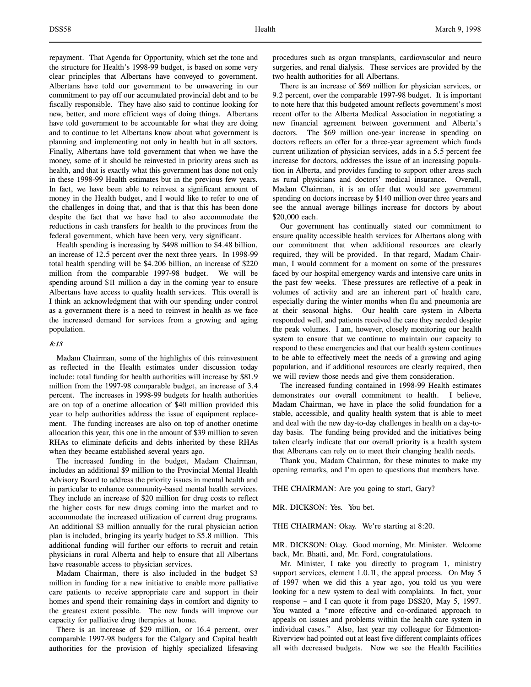repayment. That Agenda for Opportunity, which set the tone and the structure for Health's 1998-99 budget, is based on some very clear principles that Albertans have conveyed to government. Albertans have told our government to be unwavering in our commitment to pay off our accumulated provincial debt and to be fiscally responsible. They have also said to continue looking for new, better, and more efficient ways of doing things. Albertans have told government to be accountable for what they are doing and to continue to let Albertans know about what government is planning and implementing not only in health but in all sectors. Finally, Albertans have told government that when we have the money, some of it should be reinvested in priority areas such as health, and that is exactly what this government has done not only in these 1998-99 Health estimates but in the previous few years. In fact, we have been able to reinvest a significant amount of money in the Health budget, and I would like to refer to one of the challenges in doing that, and that is that this has been done despite the fact that we have had to also accommodate the reductions in cash transfers for health to the provinces from the federal government, which have been very, very significant.

Health spending is increasing by \$498 million to \$4.48 billion, an increase of 12.5 percent over the next three years. In 1998-99 total health spending will be \$4.206 billion, an increase of \$220 million from the comparable 1997-98 budget. We will be spending around \$11 million a day in the coming year to ensure Albertans have access to quality health services. This overall is I think an acknowledgment that with our spending under control as a government there is a need to reinvest in health as we face the increased demand for services from a growing and aging population.

# 8:13

Madam Chairman, some of the highlights of this reinvestment as reflected in the Health estimates under discussion today include: total funding for health authorities will increase by \$81.9 million from the 1997-98 comparable budget, an increase of 3.4 percent. The increases in 1998-99 budgets for health authorities are on top of a onetime allocation of \$40 million provided this year to help authorities address the issue of equipment replacement. The funding increases are also on top of another onetime allocation this year, this one in the amount of \$39 million to seven RHAs to eliminate deficits and debts inherited by these RHAs when they became established several years ago.

The increased funding in the budget, Madam Chairman, includes an additional \$9 million to the Provincial Mental Health Advisory Board to address the priority issues in mental health and in particular to enhance community-based mental health services. They include an increase of \$20 million for drug costs to reflect the higher costs for new drugs coming into the market and to accommodate the increased utilization of current drug programs. An additional \$3 million annually for the rural physician action plan is included, bringing its yearly budget to \$5.8 million. This additional funding will further our efforts to recruit and retain physicians in rural Alberta and help to ensure that all Albertans have reasonable access to physician services.

Madam Chairman, there is also included in the budget \$3 million in funding for a new initiative to enable more palliative care patients to receive appropriate care and support in their homes and spend their remaining days in comfort and dignity to the greatest extent possible. The new funds will improve our capacity for palliative drug therapies at home.

There is an increase of \$29 million, or 16.4 percent, over comparable 1997-98 budgets for the Calgary and Capital health authorities for the provision of highly specialized lifesaving

procedures such as organ transplants, cardiovascular and neuro surgeries, and renal dialysis. These services are provided by the two health authorities for all Albertans.

There is an increase of \$69 million for physician services, or 9.2 percent, over the comparable 1997-98 budget. It is important to note here that this budgeted amount reflects government's most recent offer to the Alberta Medical Association in negotiating a new financial agreement between government and Alberta's doctors. The \$69 million one-year increase in spending on doctors reflects an offer for a three-year agreement which funds current utilization of physician services, adds in a 5.5 percent fee increase for doctors, addresses the issue of an increasing population in Alberta, and provides funding to support other areas such as rural physicians and doctors' medical insurance. Overall, Madam Chairman, it is an offer that would see government spending on doctors increase by \$140 million over three years and see the annual average billings increase for doctors by about \$20,000 each.

Our government has continually stated our commitment to ensure quality accessible health services for Albertans along with our commitment that when additional resources are clearly required, they will be provided. In that regard, Madam Chairman, I would comment for a moment on some of the pressures faced by our hospital emergency wards and intensive care units in the past few weeks. These pressures are reflective of a peak in volumes of activity and are an inherent part of health care, especially during the winter months when flu and pneumonia are at their seasonal highs. Our health care system in Alberta responded well, and patients received the care they needed despite the peak volumes. I am, however, closely monitoring our health system to ensure that we continue to maintain our capacity to respond to these emergencies and that our health system continues to be able to effectively meet the needs of a growing and aging population, and if additional resources are clearly required, then we will review those needs and give them consideration.

The increased funding contained in 1998-99 Health estimates demonstrates our overall commitment to health. I believe, Madam Chairman, we have in place the solid foundation for a stable, accessible, and quality health system that is able to meet and deal with the new day-to-day challenges in health on a day-today basis. The funding being provided and the initiatives being taken clearly indicate that our overall priority is a health system that Albertans can rely on to meet their changing health needs.

Thank you, Madam Chairman, for these minutes to make my opening remarks, and I'm open to questions that members have.

THE CHAIRMAN: Are you going to start, Gary?

MR. DICKSON: Yes. You bet.

THE CHAIRMAN: Okay. We're starting at 8:20.

MR. DICKSON: Okay. Good morning, Mr. Minister. Welcome back, Mr. Bhatti, and, Mr. Ford, congratulations.

Mr. Minister, I take you directly to program 1, ministry support services, element 1.0.11, the appeal process. On May 5 of 1997 when we did this a year ago, you told us you were looking for a new system to deal with complaints. In fact, your response – and I can quote it from page DSS20, May 5, 1997. You wanted a "more effective and co-ordinated approach to appeals on issues and problems within the health care system in individual cases." Also, last year my colleague for Edmonton-Riverview had pointed out at least five different complaints offices all with decreased budgets. Now we see the Health Facilities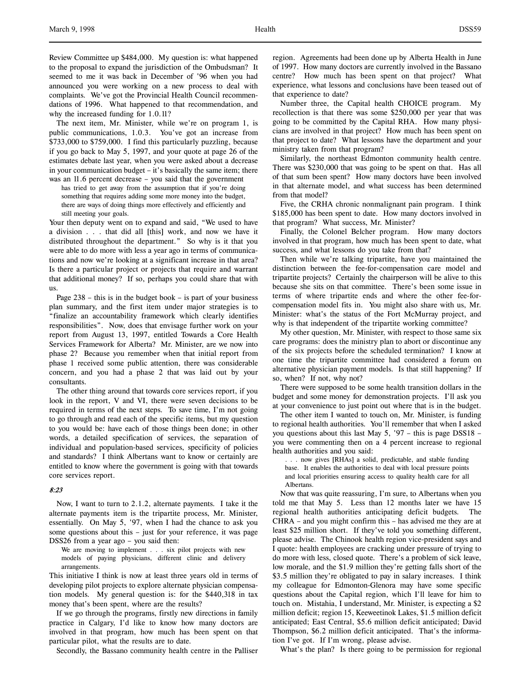Review Committee up \$484,000. My question is: what happened to the proposal to expand the jurisdiction of the Ombudsman? It seemed to me it was back in December of '96 when you had announced you were working on a new process to deal with complaints. We've got the Provincial Health Council recommendations of 1996. What happened to that recommendation, and why the increased funding for 1.0.11?

The next item, Mr. Minister, while we're on program 1, is public communications, 1.0.3. You've got an increase from \$733,000 to \$759,000. I find this particularly puzzling, because if you go back to May 5, 1997, and your quote at page 26 of the estimates debate last year, when you were asked about a decrease in your communication budget – it's basically the same item; there was an 11.6 percent decrease – you said that the government

has tried to get away from the assumption that if you're doing something that requires adding some more money into the budget, there are ways of doing things more effectively and efficiently and still meeting your goals.

Your then deputy went on to expand and said, "We used to have a division . . . that did all [this] work, and now we have it distributed throughout the department." So why is it that you were able to do more with less a year ago in terms of communications and now we're looking at a significant increase in that area? Is there a particular project or projects that require and warrant that additional money? If so, perhaps you could share that with us.

Page  $238 -$  this is in the budget book – is part of your business plan summary, and the first item under major strategies is to "finalize an accountability framework which clearly identifies responsibilities". Now, does that envisage further work on your report from August 13, 1997, entitled Towards a Core Health Services Framework for Alberta? Mr. Minister, are we now into phase 2? Because you remember when that initial report from phase 1 received some public attention, there was considerable concern, and you had a phase 2 that was laid out by your consultants.

The other thing around that towards core services report, if you look in the report, V and VI, there were seven decisions to be required in terms of the next steps. To save time, I'm not going to go through and read each of the specific items, but my question to you would be: have each of those things been done; in other words, a detailed specification of services, the separation of individual and population-based services, specificity of policies and standards? I think Albertans want to know or certainly are entitled to know where the government is going with that towards core services report.

## 8:23

Now, I want to turn to 2.1.2, alternate payments. I take it the alternate payments item is the tripartite process, Mr. Minister, essentially. On May 5, '97, when I had the chance to ask you some questions about this – just for your reference, it was page DSS26 from a year ago – you said then:

We are moving to implement . . . six pilot projects with new models of paying physicians, different clinic and delivery arrangements.

This initiative I think is now at least three years old in terms of developing pilot projects to explore alternate physician compensation models. My general question is: for the \$440,318 in tax money that's been spent, where are the results?

If we go through the programs, firstly new directions in family practice in Calgary, I'd like to know how many doctors are involved in that program, how much has been spent on that particular pilot, what the results are to date.

Secondly, the Bassano community health centre in the Palliser

region. Agreements had been done up by Alberta Health in June of 1997. How many doctors are currently involved in the Bassano centre? How much has been spent on that project? What experience, what lessons and conclusions have been teased out of that experience to date?

Number three, the Capital health CHOICE program. My recollection is that there was some \$250,000 per year that was going to be committed by the Capital RHA. How many physicians are involved in that project? How much has been spent on that project to date? What lessons have the department and your ministry taken from that program?

Similarly, the northeast Edmonton community health centre. There was \$230,000 that was going to be spent on that. Has all of that sum been spent? How many doctors have been involved in that alternate model, and what success has been determined from that model?

Five, the CRHA chronic nonmalignant pain program. I think \$185,000 has been spent to date. How many doctors involved in that program? What success, Mr. Minister?

Finally, the Colonel Belcher program. How many doctors involved in that program, how much has been spent to date, what success, and what lessons do you take from that?

Then while we're talking tripartite, have you maintained the distinction between the fee-for-compensation care model and tripartite projects? Certainly the chairperson will be alive to this because she sits on that committee. There's been some issue in terms of where tripartite ends and where the other fee-forcompensation model fits in. You might also share with us, Mr. Minister: what's the status of the Fort McMurray project, and why is that independent of the tripartite working committee?

My other question, Mr. Minister, with respect to those same six care programs: does the ministry plan to abort or discontinue any of the six projects before the scheduled termination? I know at one time the tripartite committee had considered a forum on alternative physician payment models. Is that still happening? If so, when? If not, why not?

There were supposed to be some health transition dollars in the budget and some money for demonstration projects. I'll ask you at your convenience to just point out where that is in the budget.

The other item I wanted to touch on, Mr. Minister, is funding to regional health authorities. You'll remember that when I asked you questions about this last May 5, '97 – this is page DSS18 – you were commenting then on a 4 percent increase to regional health authorities and you said:

. . . now gives [RHAs] a solid, predictable, and stable funding base. It enables the authorities to deal with local pressure points and local priorities ensuring access to quality health care for all Albertans.

Now that was quite reassuring, I'm sure, to Albertans when you told me that May 5. Less than 12 months later we have 15 regional health authorities anticipating deficit budgets. The CHRA – and you might confirm this – has advised me they are at least \$25 million short. If they've told you something different, please advise. The Chinook health region vice-president says and I quote: health employees are cracking under pressure of trying to do more with less, closed quote. There's a problem of sick leave, low morale, and the \$1.9 million they're getting falls short of the \$3.5 million they're obligated to pay in salary increases. I think my colleague for Edmonton-Glenora may have some specific questions about the Capital region, which I'll leave for him to touch on. Mistahia, I understand, Mr. Minister, is expecting a \$2 million deficit; region 15, Keeweetinok Lakes, \$1.5 million deficit anticipated; East Central, \$5.6 million deficit anticipated; David Thompson, \$6.2 million deficit anticipated. That's the information I've got. If I'm wrong, please advise.

What's the plan? Is there going to be permission for regional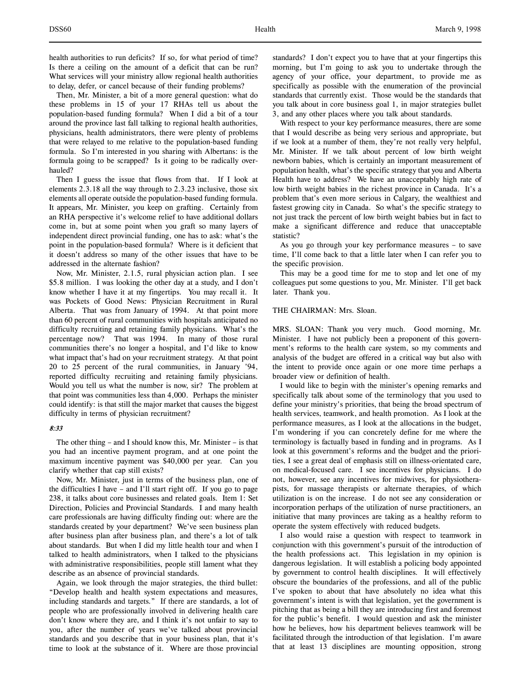health authorities to run deficits? If so, for what period of time? Is there a ceiling on the amount of a deficit that can be run? What services will your ministry allow regional health authorities to delay, defer, or cancel because of their funding problems?

Then, Mr. Minister, a bit of a more general question: what do these problems in 15 of your 17 RHAs tell us about the population-based funding formula? When I did a bit of a tour around the province last fall talking to regional health authorities, physicians, health administrators, there were plenty of problems that were relayed to me relative to the population-based funding formula. So I'm interested in you sharing with Albertans: is the formula going to be scrapped? Is it going to be radically overhauled?

Then I guess the issue that flows from that. If I look at elements 2.3.18 all the way through to 2.3.23 inclusive, those six elements all operate outside the population-based funding formula. It appears, Mr. Minister, you keep on grafting. Certainly from an RHA perspective it's welcome relief to have additional dollars come in, but at some point when you graft so many layers of independent direct provincial funding, one has to ask: what's the point in the population-based formula? Where is it deficient that it doesn't address so many of the other issues that have to be addressed in the alternate fashion?

Now, Mr. Minister, 2.1.5, rural physician action plan. I see \$5.8 million. I was looking the other day at a study, and I don't know whether I have it at my fingertips. You may recall it. It was Pockets of Good News: Physician Recruitment in Rural Alberta. That was from January of 1994. At that point more than 60 percent of rural communities with hospitals anticipated no difficulty recruiting and retaining family physicians. What's the percentage now? That was 1994. In many of those rural communities there's no longer a hospital, and I'd like to know what impact that's had on your recruitment strategy. At that point 20 to 25 percent of the rural communities, in January '94, reported difficulty recruiting and retaining family physicians. Would you tell us what the number is now, sir? The problem at that point was communities less than 4,000. Perhaps the minister could identify: is that still the major market that causes the biggest difficulty in terms of physician recruitment?

# 8:33

The other thing – and I should know this, Mr. Minister – is that you had an incentive payment program, and at one point the maximum incentive payment was \$40,000 per year. Can you clarify whether that cap still exists?

Now, Mr. Minister, just in terms of the business plan, one of the difficulties I have – and I'll start right off. If you go to page 238, it talks about core businesses and related goals. Item 1: Set Direction, Policies and Provincial Standards. I and many health care professionals are having difficulty finding out: where are the standards created by your department? We've seen business plan after business plan after business plan, and there's a lot of talk about standards. But when I did my little health tour and when I talked to health administrators, when I talked to the physicians with administrative responsibilities, people still lament what they describe as an absence of provincial standards.

Again, we look through the major strategies, the third bullet: "Develop health and health system expectations and measures, including standards and targets." If there are standards, a lot of people who are professionally involved in delivering health care don't know where they are, and I think it's not unfair to say to you, after the number of years we've talked about provincial standards and you describe that in your business plan, that it's time to look at the substance of it. Where are those provincial standards? I don't expect you to have that at your fingertips this morning, but I'm going to ask you to undertake through the agency of your office, your department, to provide me as specifically as possible with the enumeration of the provincial standards that currently exist. Those would be the standards that you talk about in core business goal 1, in major strategies bullet 3, and any other places where you talk about standards.

With respect to your key performance measures, there are some that I would describe as being very serious and appropriate, but if we look at a number of them, they're not really very helpful, Mr. Minister. If we talk about percent of low birth weight newborn babies, which is certainly an important measurement of population health, what's the specific strategy that you and Alberta Health have to address? We have an unacceptably high rate of low birth weight babies in the richest province in Canada. It's a problem that's even more serious in Calgary, the wealthiest and fastest growing city in Canada. So what's the specific strategy to not just track the percent of low birth weight babies but in fact to make a significant difference and reduce that unacceptable statistic?

As you go through your key performance measures – to save time, I'll come back to that a little later when I can refer you to the specific provision.

This may be a good time for me to stop and let one of my colleagues put some questions to you, Mr. Minister. I'll get back later. Thank you.

#### THE CHAIRMAN: Mrs. Sloan.

MRS. SLOAN: Thank you very much. Good morning, Mr. Minister. I have not publicly been a proponent of this government's reforms to the health care system, so my comments and analysis of the budget are offered in a critical way but also with the intent to provide once again or one more time perhaps a broader view or definition of health.

I would like to begin with the minister's opening remarks and specifically talk about some of the terminology that you used to define your ministry's priorities, that being the broad spectrum of health services, teamwork, and health promotion. As I look at the performance measures, as I look at the allocations in the budget, I'm wondering if you can concretely define for me where the terminology is factually based in funding and in programs. As I look at this government's reforms and the budget and the priorities, I see a great deal of emphasis still on illness-orientated care, on medical-focused care. I see incentives for physicians. I do not, however, see any incentives for midwives, for physiotherapists, for massage therapists or alternate therapies, of which utilization is on the increase. I do not see any consideration or incorporation perhaps of the utilization of nurse practitioners, an initiative that many provinces are taking as a healthy reform to operate the system effectively with reduced budgets.

I also would raise a question with respect to teamwork in conjunction with this government's pursuit of the introduction of the health professions act. This legislation in my opinion is dangerous legislation. It will establish a policing body appointed by government to control health disciplines. It will effectively obscure the boundaries of the professions, and all of the public I've spoken to about that have absolutely no idea what this government's intent is with that legislation, yet the government is pitching that as being a bill they are introducing first and foremost for the public's benefit. I would question and ask the minister how he believes, how his department believes teamwork will be facilitated through the introduction of that legislation. I'm aware that at least 13 disciplines are mounting opposition, strong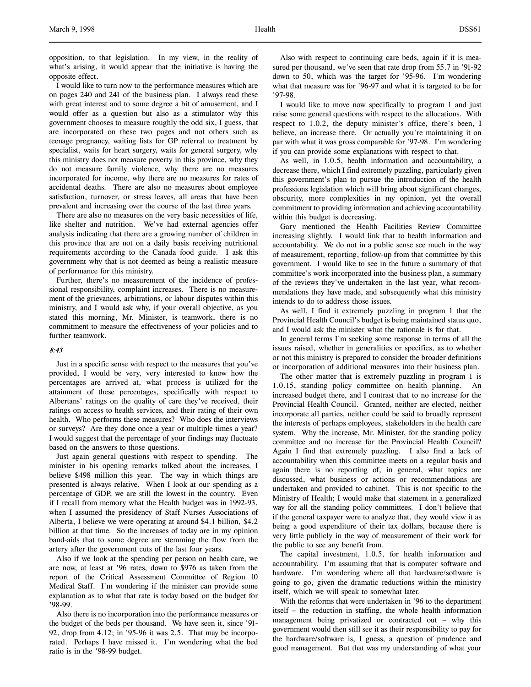opposition, to that legislation. In my view, in the reality of what's arising, it would appear that the initiative is having the opposite effect.

I would like to turn now to the performance measures which are on pages 240 and 241 of the business plan. I always read these with great interest and to some degree a bit of amusement, and I would offer as a question but also as a stimulator why this government chooses to measure roughly the odd six, I guess, that are incorporated on these two pages and not others such as teenage pregnancy, waiting lists for GP referral to treatment by specialist, waits for heart surgery, waits for general surgery, why this ministry does not measure poverty in this province, why they do not measure family violence, why there are no measures incorporated for income, why there are no measures for rates of accidental deaths. There are also no measures about employee satisfaction, turnover, or stress leaves, all areas that have been prevalent and increasing over the course of the last three years.

There are also no measures on the very basic necessities of life, like shelter and nutrition. We've had external agencies offer analysis indicating that there are a growing number of children in this province that are not on a daily basis receiving nutritional requirements according to the Canada food guide. I ask this government why that is not deemed as being a realistic measure of performance for this ministry.

Further, there's no measurement of the incidence of professional responsibility, complaint increases. There is no measurement of the grievances, arbitrations, or labour disputes within this ministry, and I would ask why, if your overall objective, as you stated this morning, Mr. Minister, is teamwork, there is no commitment to measure the effectiveness of your policies and to further teamwork.

# 8:43

Just in a specific sense with respect to the measures that you've provided, I would be very, very interested to know how the percentages are arrived at, what process is utilized for the attainment of these percentages, specifically with respect to Albertans' ratings on the quality of care they've received, their ratings on access to health services, and their rating of their own health. Who performs these measures? Who does the interviews or surveys? Are they done once a year or multiple times a year? I would suggest that the percentage of your findings may fluctuate based on the answers to those questions.

Just again general questions with respect to spending. The minister in his opening remarks talked about the increases, I believe \$498 million this year. The way in which things are presented is always relative. When I look at our spending as a percentage of GDP, we are still the lowest in the country. Even if I recall from memory what the Health budget was in 1992-93, when I assumed the presidency of Staff Nurses Associations of Alberta, I believe we were operating at around \$4.1 billion, \$4.2 billion at that time. So the increases of today are in my opinion band-aids that to some degree are stemming the flow from the artery after the government cuts of the last four years.

Also if we look at the spending per person on health care, we are now, at least at '96 rates, down to \$976 as taken from the report of the Critical Assessment Committee of Region 10 Medical Staff. I'm wondering if the minister can provide some explanation as to what that rate is today based on the budget for '98-99.

Also there is no incorporation into the performance measures or the budget of the beds per thousand. We have seen it, since '91- 92, drop from 4.12; in '95-96 it was 2.5. That may be incorporated. Perhaps I have missed it. I'm wondering what the bed ratio is in the '98-99 budget.

Also with respect to continuing care beds, again if it is measured per thousand, we've seen that rate drop from 55.7 in '91-92 down to 50, which was the target for '95-96. I'm wondering what that measure was for '96-97 and what it is targeted to be for '97-98.

I would like to move now specifically to program 1 and just raise some general questions with respect to the allocations. With respect to 1.0.2, the deputy minister's office, there's been, I believe, an increase there. Or actually you're maintaining it on par with what it was gross comparable for '97-98. I'm wondering if you can provide some explanations with respect to that.

As well, in 1.0.5, health information and accountability, a decrease there, which I find extremely puzzling, particularly given this government's plan to pursue the introduction of the health professions legislation which will bring about significant changes, obscurity, more complexities in my opinion, yet the overall commitment to providing information and achieving accountability within this budget is decreasing.

Gary mentioned the Health Facilities Review Committee increasing slightly. I would link that to health information and accountability. We do not in a public sense see much in the way of measurement, reporting, follow-up from that committee by this government. I would like to see in the future a summary of that committee's work incorporated into the business plan, a summary of the reviews they've undertaken in the last year, what recommendations they have made, and subsequently what this ministry intends to do to address those issues.

As well, I find it extremely puzzling in program 1 that the Provincial Health Council's budget is being maintained status quo, and I would ask the minister what the rationale is for that.

In general terms I'm seeking some response in terms of all the issues raised, whether in generalities or specifics, as to whether or not this ministry is prepared to consider the broader definitions or incorporation of additional measures into their business plan.

The other matter that is extremely puzzling in program 1 is 1.0.15, standing policy committee on health planning. An increased budget there, and I contrast that to no increase for the Provincial Health Council. Granted, neither are elected, neither incorporate all parties, neither could be said to broadly represent the interests of perhaps employees, stakeholders in the health care system. Why the increase, Mr. Minister, for the standing policy committee and no increase for the Provincial Health Council? Again I find that extremely puzzling. I also find a lack of accountability when this committee meets on a regular basis and again there is no reporting of, in general, what topics are discussed, what business or actions or recommendations are undertaken and provided to cabinet. This is not specific to the Ministry of Health; I would make that statement in a generalized way for all the standing policy committees. I don't believe that if the general taxpayer were to analyze that, they would view it as being a good expenditure of their tax dollars, because there is very little publicly in the way of measurement of their work for the public to see any benefit from.

The capital investment, 1.0.5, for health information and accountability. I'm assuming that that is computer software and hardware. I'm wondering where all that hardware/software is going to go, given the dramatic reductions within the ministry itself, which we will speak to somewhat later.

With the reforms that were undertaken in '96 to the department itself – the reduction in staffing, the whole health information management being privatized or contracted out – why this government would then still see it as their responsibility to pay for the hardware/software is, I guess, a question of prudence and good management. But that was my understanding of what your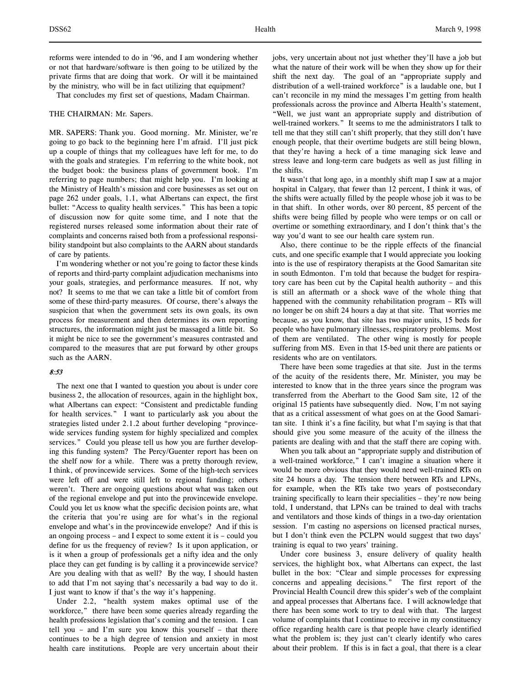reforms were intended to do in '96, and I am wondering whether or not that hardware/software is then going to be utilized by the private firms that are doing that work. Or will it be maintained by the ministry, who will be in fact utilizing that equipment?

That concludes my first set of questions, Madam Chairman.

#### THE CHAIRMAN: Mr. Sapers.

MR. SAPERS: Thank you. Good morning. Mr. Minister, we're going to go back to the beginning here I'm afraid. I'll just pick up a couple of things that my colleagues have left for me, to do with the goals and strategies. I'm referring to the white book, not the budget book: the business plans of government book. I'm referring to page numbers; that might help you. I'm looking at the Ministry of Health's mission and core businesses as set out on page 262 under goals, 1.1, what Albertans can expect, the first bullet: "Access to quality health services." This has been a topic of discussion now for quite some time, and I note that the registered nurses released some information about their rate of complaints and concerns raised both from a professional responsibility standpoint but also complaints to the AARN about standards of care by patients.

I'm wondering whether or not you're going to factor these kinds of reports and third-party complaint adjudication mechanisms into your goals, strategies, and performance measures. If not, why not? It seems to me that we can take a little bit of comfort from some of these third-party measures. Of course, there's always the suspicion that when the government sets its own goals, its own process for measurement and then determines its own reporting structures, the information might just be massaged a little bit. So it might be nice to see the government's measures contrasted and compared to the measures that are put forward by other groups such as the AARN.

# 8:53

The next one that I wanted to question you about is under core business 2, the allocation of resources, again in the highlight box, what Albertans can expect: "Consistent and predictable funding for health services." I want to particularly ask you about the strategies listed under 2.1.2 about further developing "provincewide services funding system for highly specialized and complex services." Could you please tell us how you are further developing this funding system? The Percy/Guenter report has been on the shelf now for a while. There was a pretty thorough review, I think, of provincewide services. Some of the high-tech services were left off and were still left to regional funding; others weren't. There are ongoing questions about what was taken out of the regional envelope and put into the provincewide envelope. Could you let us know what the specific decision points are, what the criteria that you're using are for what's in the regional envelope and what's in the provincewide envelope? And if this is an ongoing process – and I expect to some extent it is – could you define for us the frequency of review? Is it upon application, or is it when a group of professionals get a nifty idea and the only place they can get funding is by calling it a provincewide service? Are you dealing with that as well? By the way, I should hasten to add that I'm not saying that's necessarily a bad way to do it. I just want to know if that's the way it's happening.

Under 2.2, "health system makes optimal use of the workforce," there have been some queries already regarding the health professions legislation that's coming and the tension. I can tell you – and I'm sure you know this yourself – that there continues to be a high degree of tension and anxiety in most health care institutions. People are very uncertain about their

what the nature of their work will be when they show up for their shift the next day. The goal of an "appropriate supply and distribution of a well-trained workforce" is a laudable one, but I can't reconcile in my mind the messages I'm getting from health professionals across the province and Alberta Health's statement, "Well, we just want an appropriate supply and distribution of well-trained workers." It seems to me the administrators I talk to tell me that they still can't shift properly, that they still don't have enough people, that their overtime budgets are still being blown, that they're having a heck of a time managing sick leave and stress leave and long-term care budgets as well as just filling in the shifts.

It wasn't that long ago, in a monthly shift map I saw at a major hospital in Calgary, that fewer than 12 percent, I think it was, of the shifts were actually filled by the people whose job it was to be in that shift. In other words, over 80 percent, 85 percent of the shifts were being filled by people who were temps or on call or overtime or something extraordinary, and I don't think that's the way you'd want to see our health care system run.

Also, there continue to be the ripple effects of the financial cuts, and one specific example that I would appreciate you looking into is the use of respiratory therapists at the Good Samaritan site in south Edmonton. I'm told that because the budget for respiratory care has been cut by the Capital health authority – and this is still an aftermath or a shock wave of the whole thing that happened with the community rehabilitation program - RTs will no longer be on shift 24 hours a day at that site. That worries me because, as you know, that site has two major units, 15 beds for people who have pulmonary illnesses, respiratory problems. Most of them are ventilated. The other wing is mostly for people suffering from MS. Even in that 15-bed unit there are patients or residents who are on ventilators.

There have been some tragedies at that site. Just in the terms of the acuity of the residents there, Mr. Minister, you may be interested to know that in the three years since the program was transferred from the Aberhart to the Good Sam site, 12 of the original 15 patients have subsequently died. Now, I'm not saying that as a critical assessment of what goes on at the Good Samaritan site. I think it's a fine facility, but what I'm saying is that that should give you some measure of the acuity of the illness the patients are dealing with and that the staff there are coping with.

When you talk about an "appropriate supply and distribution of a well-trained workforce," I can't imagine a situation where it would be more obvious that they would need well-trained RTs on site 24 hours a day. The tension there between RTs and LPNs, for example, when the RTs take two years of postsecondary training specifically to learn their specialities – they're now being told, I understand, that LPNs can be trained to deal with trachs and ventilators and those kinds of things in a two-day orientation session. I'm casting no aspersions on licensed practical nurses, but I don't think even the PCLPN would suggest that two days' training is equal to two years' training.

Under core business 3, ensure delivery of quality health services, the highlight box, what Albertans can expect, the last bullet in the box: "Clear and simple processes for expressing concerns and appealing decisions." The first report of the Provincial Health Council drew this spider's web of the complaint and appeal processes that Albertans face. I will acknowledge that there has been some work to try to deal with that. The largest volume of complaints that I continue to receive in my constituency office regarding health care is that people have clearly identified what the problem is; they just can't clearly identify who cares about their problem. If this is in fact a goal, that there is a clear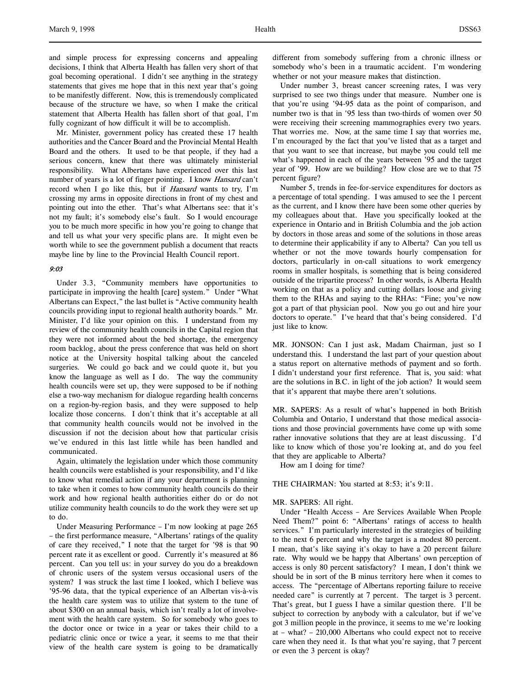and simple process for expressing concerns and appealing decisions, I think that Alberta Health has fallen very short of that goal becoming operational. I didn't see anything in the strategy statements that gives me hope that in this next year that's going to be manifestly different. Now, this is tremendously complicated because of the structure we have, so when I make the critical statement that Alberta Health has fallen short of that goal, I'm fully cognizant of how difficult it will be to accomplish.

Mr. Minister, government policy has created these 17 health authorities and the Cancer Board and the Provincial Mental Health Board and the others. It used to be that people, if they had a serious concern, knew that there was ultimately ministerial responsibility. What Albertans have experienced over this last number of years is a lot of finger pointing. I know Hansard can't record when I go like this, but if *Hansard* wants to try, I'm crossing my arms in opposite directions in front of my chest and pointing out into the ether. That's what Albertans see: that it's not my fault; it's somebody else's fault. So I would encourage you to be much more specific in how you're going to change that and tell us what your very specific plans are. It might even be worth while to see the government publish a document that reacts maybe line by line to the Provincial Health Council report.

# 9:03

Under 3.3, "Community members have opportunities to participate in improving the health [care] system." Under "What Albertans can Expect," the last bullet is "Active community health councils providing input to regional health authority boards." Mr. Minister, I'd like your opinion on this. I understand from my review of the community health councils in the Capital region that they were not informed about the bed shortage, the emergency room backlog, about the press conference that was held on short notice at the University hospital talking about the canceled surgeries. We could go back and we could quote it, but you know the language as well as I do. The way the community health councils were set up, they were supposed to be if nothing else a two-way mechanism for dialogue regarding health concerns on a region-by-region basis, and they were supposed to help localize those concerns. I don't think that it's acceptable at all that community health councils would not be involved in the discussion if not the decision about how that particular crisis we've endured in this last little while has been handled and communicated.

Again, ultimately the legislation under which those community health councils were established is your responsibility, and I'd like to know what remedial action if any your department is planning to take when it comes to how community health councils do their work and how regional health authorities either do or do not utilize community health councils to do the work they were set up to do.

Under Measuring Performance – I'm now looking at page 265 – the first performance measure, "Albertans' ratings of the quality of care they received," I note that the target for '98 is that 90 percent rate it as excellent or good. Currently it's measured at 86 percent. Can you tell us: in your survey do you do a breakdown of chronic users of the system versus occasional users of the system? I was struck the last time I looked, which I believe was '95-96 data, that the typical experience of an Albertan vis-à-vis the health care system was to utilize that system to the tune of about \$300 on an annual basis, which isn't really a lot of involvement with the health care system. So for somebody who goes to the doctor once or twice in a year or takes their child to a pediatric clinic once or twice a year, it seems to me that their view of the health care system is going to be dramatically

different from somebody suffering from a chronic illness or somebody who's been in a traumatic accident. I'm wondering whether or not your measure makes that distinction.

Under number 3, breast cancer screening rates, I was very surprised to see two things under that measure. Number one is that you're using '94-95 data as the point of comparison, and number two is that in '95 less than two-thirds of women over 50 were receiving their screening mammographies every two years. That worries me. Now, at the same time I say that worries me, I'm encouraged by the fact that you've listed that as a target and that you want to see that increase, but maybe you could tell me what's happened in each of the years between '95 and the target year of '99. How are we building? How close are we to that 75 percent figure?

Number 5, trends in fee-for-service expenditures for doctors as a percentage of total spending. I was amused to see the 1 percent as the current, and I know there have been some other queries by my colleagues about that. Have you specifically looked at the experience in Ontario and in British Columbia and the job action by doctors in those areas and some of the solutions in those areas to determine their applicability if any to Alberta? Can you tell us whether or not the move towards hourly compensation for doctors, particularly in on-call situations to work emergency rooms in smaller hospitals, is something that is being considered outside of the tripartite process? In other words, is Alberta Health working on that as a policy and cutting dollars loose and giving them to the RHAs and saying to the RHAs: "Fine; you've now got a part of that physician pool. Now you go out and hire your doctors to operate." I've heard that that's being considered. I'd just like to know.

MR. JONSON: Can I just ask, Madam Chairman, just so I understand this. I understand the last part of your question about a status report on alternative methods of payment and so forth. I didn't understand your first reference. That is, you said: what are the solutions in B.C. in light of the job action? It would seem that it's apparent that maybe there aren't solutions.

MR. SAPERS: As a result of what's happened in both British Columbia and Ontario, I understand that those medical associations and those provincial governments have come up with some rather innovative solutions that they are at least discussing. I'd like to know which of those you're looking at, and do you feel that they are applicable to Alberta?

How am I doing for time?

### THE CHAIRMAN: You started at 8:53; it's 9:11.

# MR. SAPERS: All right.

Under "Health Access – Are Services Available When People Need Them?" point 6: "Albertans' ratings of access to health services." I'm particularly interested in the strategies of building to the next 6 percent and why the target is a modest 80 percent. I mean, that's like saying it's okay to have a 20 percent failure rate. Why would we be happy that Albertans' own perception of access is only 80 percent satisfactory? I mean, I don't think we should be in sort of the B minus territory here when it comes to access. The "percentage of Albertans reporting failure to receive needed care" is currently at 7 percent. The target is 3 percent. That's great, but I guess I have a similar question there. I'll be subject to correction by anybody with a calculator, but if we've got 3 million people in the province, it seems to me we're looking at – what? – 210,000 Albertans who could expect not to receive care when they need it. Is that what you're saying, that 7 percent or even the 3 percent is okay?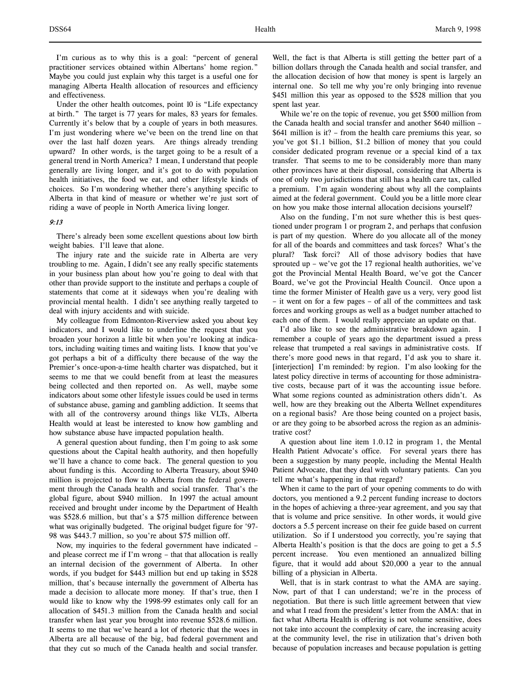Under the other health outcomes, point 10 is "Life expectancy at birth." The target is 77 years for males, 83 years for females. Currently it's below that by a couple of years in both measures. I'm just wondering where we've been on the trend line on that over the last half dozen years. Are things already trending upward? In other words, is the target going to be a result of a general trend in North America? I mean, I understand that people generally are living longer, and it's got to do with population health initiatives, the food we eat, and other lifestyle kinds of choices. So I'm wondering whether there's anything specific to Alberta in that kind of measure or whether we're just sort of riding a wave of people in North America living longer.

# 9:13

There's already been some excellent questions about low birth weight babies. I'll leave that alone.

The injury rate and the suicide rate in Alberta are very troubling to me. Again, I didn't see any really specific statements in your business plan about how you're going to deal with that other than provide support to the institute and perhaps a couple of statements that come at it sideways when you're dealing with provincial mental health. I didn't see anything really targeted to deal with injury accidents and with suicide.

My colleague from Edmonton-Riverview asked you about key indicators, and I would like to underline the request that you broaden your horizon a little bit when you're looking at indicators, including waiting times and waiting lists. I know that you've got perhaps a bit of a difficulty there because of the way the Premier's once-upon-a-time health charter was dispatched, but it seems to me that we could benefit from at least the measures being collected and then reported on. As well, maybe some indicators about some other lifestyle issues could be used in terms of substance abuse, gaming and gambling addiction. It seems that with all of the controversy around things like VLTs, Alberta Health would at least be interested to know how gambling and how substance abuse have impacted population health.

A general question about funding, then I'm going to ask some questions about the Capital health authority, and then hopefully we'll have a chance to come back. The general question to you about funding is this. According to Alberta Treasury, about \$940 million is projected to flow to Alberta from the federal government through the Canada health and social transfer. That's the global figure, about \$940 million. In 1997 the actual amount received and brought under income by the Department of Health was \$528.6 million, but that's a \$75 million difference between what was originally budgeted. The original budget figure for '97- 98 was \$443.7 million, so you're about \$75 million off.

Now, my inquiries to the federal government have indicated – and please correct me if I'm wrong – that that allocation is really an internal decision of the government of Alberta. In other words, if you budget for \$443 million but end up taking in \$528 million, that's because internally the government of Alberta has made a decision to allocate more money. If that's true, then I would like to know why the 1998-99 estimates only call for an allocation of \$451.3 million from the Canada health and social transfer when last year you brought into revenue \$528.6 million. It seems to me that we've heard a lot of rhetoric that the woes in Alberta are all because of the big, bad federal government and that they cut so much of the Canada health and social transfer.

Well, the fact is that Alberta is still getting the better part of a billion dollars through the Canada health and social transfer, and the allocation decision of how that money is spent is largely an internal one. So tell me why you're only bringing into revenue \$451 million this year as opposed to the \$528 million that you spent last year.

While we're on the topic of revenue, you get \$500 million from the Canada health and social transfer and another \$640 million – \$641 million is it? – from the health care premiums this year, so you've got \$1.1 billion, \$1.2 billion of money that you could consider dedicated program revenue or a special kind of a tax transfer. That seems to me to be considerably more than many other provinces have at their disposal, considering that Alberta is one of only two jurisdictions that still has a health care tax, called a premium. I'm again wondering about why all the complaints aimed at the federal government. Could you be a little more clear on how you make those internal allocation decisions yourself?

Also on the funding, I'm not sure whether this is best questioned under program 1 or program 2, and perhaps that confusion is part of my question. Where do you allocate all of the money for all of the boards and committees and task forces? What's the plural? Task forci? All of those advisory bodies that have sprouted up – we've got the 17 regional health authorities, we've got the Provincial Mental Health Board, we've got the Cancer Board, we've got the Provincial Health Council. Once upon a time the former Minister of Health gave us a very, very good list – it went on for a few pages – of all of the committees and task forces and working groups as well as a budget number attached to each one of them. I would really appreciate an update on that.

I'd also like to see the administrative breakdown again. I remember a couple of years ago the department issued a press release that trumpeted a real savings in administrative costs. If there's more good news in that regard, I'd ask you to share it. [interjection] I'm reminded: by region. I'm also looking for the latest policy directive in terms of accounting for those administrative costs, because part of it was the accounting issue before. What some regions counted as administration others didn't. As well, how are they breaking out the Alberta Wellnet expenditures on a regional basis? Are those being counted on a project basis, or are they going to be absorbed across the region as an administrative cost?

A question about line item 1.0.12 in program 1, the Mental Health Patient Advocate's office. For several years there has been a suggestion by many people, including the Mental Health Patient Advocate, that they deal with voluntary patients. Can you tell me what's happening in that regard?

When it came to the part of your opening comments to do with doctors, you mentioned a 9.2 percent funding increase to doctors in the hopes of achieving a three-year agreement, and you say that that is volume and price sensitive. In other words, it would give doctors a 5.5 percent increase on their fee guide based on current utilization. So if I understood you correctly, you're saying that Alberta Health's position is that the docs are going to get a 5.5 percent increase. You even mentioned an annualized billing figure, that it would add about \$20,000 a year to the annual billing of a physician in Alberta.

Well, that is in stark contrast to what the AMA are saying. Now, part of that I can understand; we're in the process of negotiation. But there is such little agreement between that view and what I read from the president's letter from the AMA: that in fact what Alberta Health is offering is not volume sensitive, does not take into account the complexity of care, the increasing acuity at the community level, the rise in utilization that's driven both because of population increases and because population is getting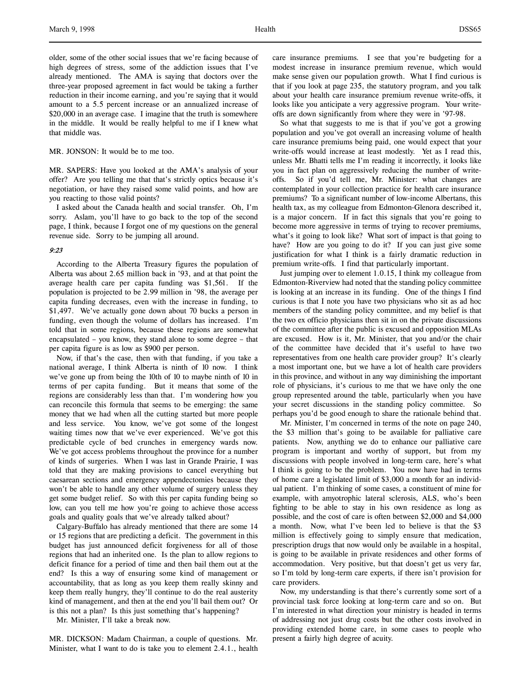older, some of the other social issues that we're facing because of high degrees of stress, some of the addiction issues that I've already mentioned. The AMA is saying that doctors over the three-year proposed agreement in fact would be taking a further reduction in their income earning, and you're saying that it would amount to a 5.5 percent increase or an annualized increase of \$20,000 in an average case. I imagine that the truth is somewhere in the middle. It would be really helpful to me if I knew what that middle was.

MR. JONSON: It would be to me too.

MR. SAPERS: Have you looked at the AMA's analysis of your offer? Are you telling me that that's strictly optics because it's negotiation, or have they raised some valid points, and how are you reacting to those valid points?

I asked about the Canada health and social transfer. Oh, I'm sorry. Aslam, you'll have to go back to the top of the second page, I think, because I forgot one of my questions on the general revenue side. Sorry to be jumping all around.

#### 9:23

According to the Alberta Treasury figures the population of Alberta was about 2.65 million back in '93, and at that point the average health care per capita funding was \$1,561. If the population is projected to be 2.99 million in '98, the average per capita funding decreases, even with the increase in funding, to \$1,497. We've actually gone down about 70 bucks a person in funding, even though the volume of dollars has increased. I'm told that in some regions, because these regions are somewhat encapsulated – you know, they stand alone to some degree – that per capita figure is as low as \$900 per person.

Now, if that's the case, then with that funding, if you take a national average, I think Alberta is ninth of 10 now. I think we've gone up from being the 10th of 10 to maybe ninth of 10 in terms of per capita funding. But it means that some of the regions are considerably less than that. I'm wondering how you can reconcile this formula that seems to be emerging: the same money that we had when all the cutting started but more people and less service. You know, we've got some of the longest waiting times now that we've ever experienced. We've got this predictable cycle of bed crunches in emergency wards now. We've got access problems throughout the province for a number of kinds of surgeries. When I was last in Grande Prairie, I was told that they are making provisions to cancel everything but caesarean sections and emergency appendectomies because they won't be able to handle any other volume of surgery unless they get some budget relief. So with this per capita funding being so low, can you tell me how you're going to achieve those access goals and quality goals that we've already talked about?

Calgary-Buffalo has already mentioned that there are some 14 or 15 regions that are predicting a deficit. The government in this budget has just announced deficit forgiveness for all of those regions that had an inherited one. Is the plan to allow regions to deficit finance for a period of time and then bail them out at the end? Is this a way of ensuring some kind of management or accountability, that as long as you keep them really skinny and keep them really hungry, they'll continue to do the real austerity kind of management, and then at the end you'll bail them out? Or is this not a plan? Is this just something that's happening?

Mr. Minister, I'll take a break now.

MR. DICKSON: Madam Chairman, a couple of questions. Mr. Minister, what I want to do is take you to element 2.4.1., health

So what that suggests to me is that if you've got a growing population and you've got overall an increasing volume of health care insurance premiums being paid, one would expect that your write-offs would increase at least modestly. Yet as I read this, unless Mr. Bhatti tells me I'm reading it incorrectly, it looks like you in fact plan on aggressively reducing the number of writeoffs. So if you'd tell me, Mr. Minister: what changes are contemplated in your collection practice for health care insurance premiums? To a significant number of low-income Albertans, this health tax, as my colleague from Edmonton-Glenora described it, is a major concern. If in fact this signals that you're going to become more aggressive in terms of trying to recover premiums, what's it going to look like? What sort of impact is that going to have? How are you going to do it? If you can just give some justification for what I think is a fairly dramatic reduction in premium write-offs. I find that particularly important.

Just jumping over to element 1.0.15, I think my colleague from Edmonton-Riverview had noted that the standing policy committee is looking at an increase in its funding. One of the things I find curious is that I note you have two physicians who sit as ad hoc members of the standing policy committee, and my belief is that the two ex officio physicians then sit in on the private discussions of the committee after the public is excused and opposition MLAs are excused. How is it, Mr. Minister, that you and/or the chair of the committee have decided that it's useful to have two representatives from one health care provider group? It's clearly a most important one, but we have a lot of health care providers in this province, and without in any way diminishing the important role of physicians, it's curious to me that we have only the one group represented around the table, particularly when you have your secret discussions in the standing policy committee. So perhaps you'd be good enough to share the rationale behind that.

Mr. Minister, I'm concerned in terms of the note on page 240, the \$3 million that's going to be available for palliative care patients. Now, anything we do to enhance our palliative care program is important and worthy of support, but from my discussions with people involved in long-term care, here's what I think is going to be the problem. You now have had in terms of home care a legislated limit of \$3,000 a month for an individual patient. I'm thinking of some cases, a constituent of mine for example, with amyotrophic lateral sclerosis, ALS, who's been fighting to be able to stay in his own residence as long as possible, and the cost of care is often between \$2,000 and \$4,000 a month. Now, what I've been led to believe is that the \$3 million is effectively going to simply ensure that medication, prescription drugs that now would only be available in a hospital, is going to be available in private residences and other forms of accommodation. Very positive, but that doesn't get us very far, so I'm told by long-term care experts, if there isn't provision for care providers.

Now, my understanding is that there's currently some sort of a provincial task force looking at long-term care and so on. But I'm interested in what direction your ministry is headed in terms of addressing not just drug costs but the other costs involved in providing extended home care, in some cases to people who present a fairly high degree of acuity.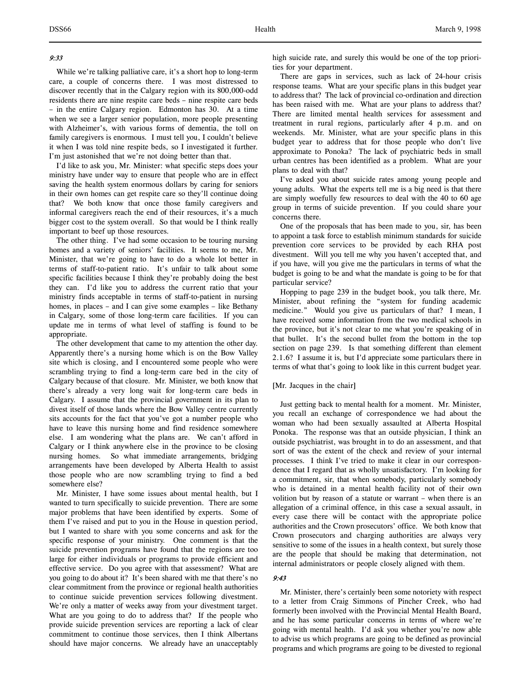# 9:33

While we're talking palliative care, it's a short hop to long-term care, a couple of concerns there. I was most distressed to discover recently that in the Calgary region with its 800,000-odd residents there are nine respite care beds – nine respite care beds – in the entire Calgary region. Edmonton has 30. At a time when we see a larger senior population, more people presenting with Alzheimer's, with various forms of dementia, the toll on family caregivers is enormous. I must tell you, I couldn't believe it when I was told nine respite beds, so I investigated it further. I'm just astonished that we're not doing better than that.

I'd like to ask you, Mr. Minister: what specific steps does your ministry have under way to ensure that people who are in effect saving the health system enormous dollars by caring for seniors in their own homes can get respite care so they'll continue doing that? We both know that once those family caregivers and informal caregivers reach the end of their resources, it's a much bigger cost to the system overall. So that would be I think really important to beef up those resources.

The other thing. I've had some occasion to be touring nursing homes and a variety of seniors' facilities. It seems to me, Mr. Minister, that we're going to have to do a whole lot better in terms of staff-to-patient ratio. It's unfair to talk about some specific facilities because I think they're probably doing the best they can. I'd like you to address the current ratio that your ministry finds acceptable in terms of staff-to-patient in nursing homes, in places – and I can give some examples – like Bethany in Calgary, some of those long-term care facilities. If you can update me in terms of what level of staffing is found to be appropriate.

The other development that came to my attention the other day. Apparently there's a nursing home which is on the Bow Valley site which is closing, and I encountered some people who were scrambling trying to find a long-term care bed in the city of Calgary because of that closure. Mr. Minister, we both know that there's already a very long wait for long-term care beds in Calgary. I assume that the provincial government in its plan to divest itself of those lands where the Bow Valley centre currently sits accounts for the fact that you've got a number people who have to leave this nursing home and find residence somewhere else. I am wondering what the plans are. We can't afford in Calgary or I think anywhere else in the province to be closing nursing homes. So what immediate arrangements, bridging arrangements have been developed by Alberta Health to assist those people who are now scrambling trying to find a bed somewhere else?

Mr. Minister, I have some issues about mental health, but I wanted to turn specifically to suicide prevention. There are some major problems that have been identified by experts. Some of them I've raised and put to you in the House in question period, but I wanted to share with you some concerns and ask for the specific response of your ministry. One comment is that the suicide prevention programs have found that the regions are too large for either individuals or programs to provide efficient and effective service. Do you agree with that assessment? What are you going to do about it? It's been shared with me that there's no clear commitment from the province or regional health authorities to continue suicide prevention services following divestment. We're only a matter of weeks away from your divestment target. What are you going to do to address that? If the people who provide suicide prevention services are reporting a lack of clear commitment to continue those services, then I think Albertans should have major concerns. We already have an unacceptably

There are gaps in services, such as lack of 24-hour crisis response teams. What are your specific plans in this budget year to address that? The lack of provincial co-ordination and direction has been raised with me. What are your plans to address that? There are limited mental health services for assessment and treatment in rural regions, particularly after 4 p.m. and on weekends. Mr. Minister, what are your specific plans in this budget year to address that for those people who don't live approximate to Ponoka? The lack of psychiatric beds in small urban centres has been identified as a problem. What are your plans to deal with that?

I've asked you about suicide rates among young people and young adults. What the experts tell me is a big need is that there are simply woefully few resources to deal with the 40 to 60 age group in terms of suicide prevention. If you could share your concerns there.

One of the proposals that has been made to you, sir, has been to appoint a task force to establish minimum standards for suicide prevention core services to be provided by each RHA post divestment. Will you tell me why you haven't accepted that, and if you have, will you give me the particulars in terms of what the budget is going to be and what the mandate is going to be for that particular service?

Hopping to page 239 in the budget book, you talk there, Mr. Minister, about refining the "system for funding academic medicine." Would you give us particulars of that? I mean, I have received some information from the two medical schools in the province, but it's not clear to me what you're speaking of in that bullet. It's the second bullet from the bottom in the top section on page 239. Is that something different than element 2.1.6? I assume it is, but I'd appreciate some particulars there in terms of what that's going to look like in this current budget year.

# [Mr. Jacques in the chair]

Just getting back to mental health for a moment. Mr. Minister, you recall an exchange of correspondence we had about the woman who had been sexually assaulted at Alberta Hospital Ponoka. The response was that an outside physician, I think an outside psychiatrist, was brought in to do an assessment, and that sort of was the extent of the check and review of your internal processes. I think I've tried to make it clear in our correspondence that I regard that as wholly unsatisfactory. I'm looking for a commitment, sir, that when somebody, particularly somebody who is detained in a mental health facility not of their own volition but by reason of a statute or warrant – when there is an allegation of a criminal offence, in this case a sexual assault, in every case there will be contact with the appropriate police authorities and the Crown prosecutors' office. We both know that Crown prosecutors and charging authorities are always very sensitive to some of the issues in a health context, but surely those are the people that should be making that determination, not internal administrators or people closely aligned with them.

## 9:43

Mr. Minister, there's certainly been some notoriety with respect to a letter from Craig Simmons of Pincher Creek, who had formerly been involved with the Provincial Mental Health Board, and he has some particular concerns in terms of where we're going with mental health. I'd ask you whether you're now able to advise us which programs are going to be defined as provincial programs and which programs are going to be divested to regional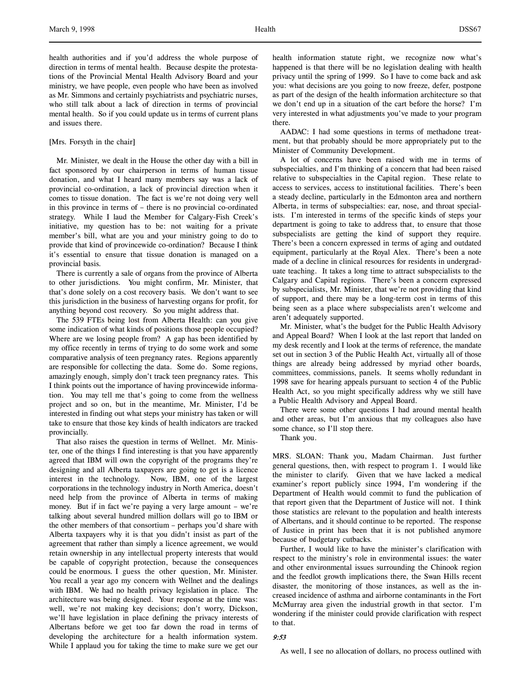health authorities and if you'd address the whole purpose of direction in terms of mental health. Because despite the protestations of the Provincial Mental Health Advisory Board and your ministry, we have people, even people who have been as involved as Mr. Simmons and certainly psychiatrists and psychiatric nurses, who still talk about a lack of direction in terms of provincial mental health. So if you could update us in terms of current plans and issues there.

# [Mrs. Forsyth in the chair]

Mr. Minister, we dealt in the House the other day with a bill in fact sponsored by our chairperson in terms of human tissue donation, and what I heard many members say was a lack of provincial co-ordination, a lack of provincial direction when it comes to tissue donation. The fact is we're not doing very well in this province in terms of – there is no provincial co-ordinated strategy. While I laud the Member for Calgary-Fish Creek's initiative, my question has to be: not waiting for a private member's bill, what are you and your ministry going to do to provide that kind of provincewide co-ordination? Because I think it's essential to ensure that tissue donation is managed on a provincial basis.

There is currently a sale of organs from the province of Alberta to other jurisdictions. You might confirm, Mr. Minister, that that's done solely on a cost recovery basis. We don't want to see this jurisdiction in the business of harvesting organs for profit, for anything beyond cost recovery. So you might address that.

The 539 FTEs being lost from Alberta Health: can you give some indication of what kinds of positions those people occupied? Where are we losing people from? A gap has been identified by my office recently in terms of trying to do some work and some comparative analysis of teen pregnancy rates. Regions apparently are responsible for collecting the data. Some do. Some regions, amazingly enough, simply don't track teen pregnancy rates. This I think points out the importance of having provincewide information. You may tell me that's going to come from the wellness project and so on, but in the meantime, Mr. Minister, I'd be interested in finding out what steps your ministry has taken or will take to ensure that those key kinds of health indicators are tracked provincially.

That also raises the question in terms of Wellnet. Mr. Minister, one of the things I find interesting is that you have apparently agreed that IBM will own the copyright of the programs they're designing and all Alberta taxpayers are going to get is a licence interest in the technology. Now, IBM, one of the largest corporations in the technology industry in North America, doesn't need help from the province of Alberta in terms of making money. But if in fact we're paying a very large amount – we're talking about several hundred million dollars will go to IBM or the other members of that consortium – perhaps you'd share with Alberta taxpayers why it is that you didn't insist as part of the agreement that rather than simply a licence agreement, we would retain ownership in any intellectual property interests that would be capable of copyright protection, because the consequences could be enormous. I guess the other question, Mr. Minister. You recall a year ago my concern with Wellnet and the dealings with IBM. We had no health privacy legislation in place. The architecture was being designed. Your response at the time was: well, we're not making key decisions; don't worry, Dickson, we'll have legislation in place defining the privacy interests of Albertans before we get too far down the road in terms of developing the architecture for a health information system. While I applaud you for taking the time to make sure we get our

health information statute right, we recognize now what's happened is that there will be no legislation dealing with health privacy until the spring of 1999. So I have to come back and ask you: what decisions are you going to now freeze, defer, postpone as part of the design of the health information architecture so that we don't end up in a situation of the cart before the horse? I'm very interested in what adjustments you've made to your program there.

AADAC: I had some questions in terms of methadone treatment, but that probably should be more appropriately put to the Minister of Community Development.

A lot of concerns have been raised with me in terms of subspecialties, and I'm thinking of a concern that had been raised relative to subspecialties in the Capital region. These relate to access to services, access to institutional facilities. There's been a steady decline, particularly in the Edmonton area and northern Alberta, in terms of subspecialties: ear, nose, and throat specialists. I'm interested in terms of the specific kinds of steps your department is going to take to address that, to ensure that those subspecialists are getting the kind of support they require. There's been a concern expressed in terms of aging and outdated equipment, particularly at the Royal Alex. There's been a note made of a decline in clinical resources for residents in undergraduate teaching. It takes a long time to attract subspecialists to the Calgary and Capital regions. There's been a concern expressed by subspecialists, Mr. Minister, that we're not providing that kind of support, and there may be a long-term cost in terms of this being seen as a place where subspecialists aren't welcome and aren't adequately supported.

Mr. Minister, what's the budget for the Public Health Advisory and Appeal Board? When I look at the last report that landed on my desk recently and I look at the terms of reference, the mandate set out in section 3 of the Public Health Act, virtually all of those things are already being addressed by myriad other boards, committees, commissions, panels. It seems wholly redundant in 1998 save for hearing appeals pursuant to section 4 of the Public Health Act, so you might specifically address why we still have a Public Health Advisory and Appeal Board.

There were some other questions I had around mental health and other areas, but I'm anxious that my colleagues also have some chance, so I'll stop there.

Thank you.

MRS. SLOAN: Thank you, Madam Chairman. Just further general questions, then, with respect to program 1. I would like the minister to clarify. Given that we have lacked a medical examiner's report publicly since 1994, I'm wondering if the Department of Health would commit to fund the publication of that report given that the Department of Justice will not. I think those statistics are relevant to the population and health interests of Albertans, and it should continue to be reported. The response of Justice in print has been that it is not published anymore because of budgetary cutbacks.

Further, I would like to have the minister's clarification with respect to the ministry's role in environmental issues: the water and other environmental issues surrounding the Chinook region and the feedlot growth implications there, the Swan Hills recent disaster, the monitoring of those instances, as well as the increased incidence of asthma and airborne contaminants in the Fort McMurray area given the industrial growth in that sector. I'm wondering if the minister could provide clarification with respect to that.

# 9:53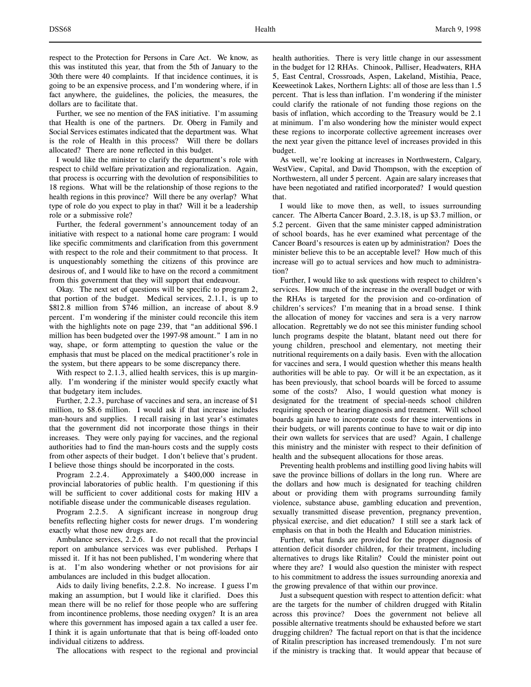respect to the Protection for Persons in Care Act. We know, as this was instituted this year, that from the 5th of January to the 30th there were 40 complaints. If that incidence continues, it is going to be an expensive process, and I'm wondering where, if in fact anywhere, the guidelines, the policies, the measures, the dollars are to facilitate that.

Further, we see no mention of the FAS initiative. I'm assuming that Health is one of the partners. Dr. Oberg in Family and Social Services estimates indicated that the department was. What is the role of Health in this process? Will there be dollars allocated? There are none reflected in this budget.

I would like the minister to clarify the department's role with respect to child welfare privatization and regionalization. Again, that process is occurring with the devolution of responsibilities to 18 regions. What will be the relationship of those regions to the health regions in this province? Will there be any overlap? What type of role do you expect to play in that? Will it be a leadership role or a submissive role?

Further, the federal government's announcement today of an initiative with respect to a national home care program: I would like specific commitments and clarification from this government with respect to the role and their commitment to that process. It is unquestionably something the citizens of this province are desirous of, and I would like to have on the record a commitment from this government that they will support that endeavour.

Okay. The next set of questions will be specific to program 2, that portion of the budget. Medical services, 2.1.1, is up to \$812.8 million from \$746 million, an increase of about 8.9 percent. I'm wondering if the minister could reconcile this item with the highlights note on page 239, that "an additional \$96.1 million has been budgeted over the 1997-98 amount." I am in no way, shape, or form attempting to question the value or the emphasis that must be placed on the medical practitioner's role in the system, but there appears to be some discrepancy there.

With respect to 2.1.3, allied health services, this is up marginally. I'm wondering if the minister would specify exactly what that budgetary item includes.

Further, 2.2.3, purchase of vaccines and sera, an increase of \$1 million, to \$8.6 million. I would ask if that increase includes man-hours and supplies. I recall raising in last year's estimates that the government did not incorporate those things in their increases. They were only paying for vaccines, and the regional authorities had to find the man-hours costs and the supply costs from other aspects of their budget. I don't believe that's prudent. I believe those things should be incorporated in the costs.

Program 2.2.4. Approximately a \$400,000 increase in provincial laboratories of public health. I'm questioning if this will be sufficient to cover additional costs for making HIV a notifiable disease under the communicable diseases regulation.

Program 2.2.5. A significant increase in nongroup drug benefits reflecting higher costs for newer drugs. I'm wondering exactly what those new drugs are.

Ambulance services, 2.2.6. I do not recall that the provincial report on ambulance services was ever published. Perhaps I missed it. If it has not been published, I'm wondering where that is at. I'm also wondering whether or not provisions for air ambulances are included in this budget allocation.

Aids to daily living benefits, 2.2.8. No increase. I guess I'm making an assumption, but I would like it clarified. Does this mean there will be no relief for those people who are suffering from incontinence problems, those needing oxygen? It is an area where this government has imposed again a tax called a user fee. I think it is again unfortunate that that is being off-loaded onto individual citizens to address.

The allocations with respect to the regional and provincial

health authorities. There is very little change in our assessment in the budget for 12 RHAs. Chinook, Palliser, Headwaters, RHA 5, East Central, Crossroads, Aspen, Lakeland, Mistihia, Peace, Keeweetinok Lakes, Northern Lights: all of those are less than 1.5 percent. That is less than inflation. I'm wondering if the minister could clarify the rationale of not funding those regions on the basis of inflation, which according to the Treasury would be 2.1 at minimum. I'm also wondering how the minister would expect these regions to incorporate collective agreement increases over the next year given the pittance level of increases provided in this budget.

As well, we're looking at increases in Northwestern, Calgary, WestView, Capital, and David Thompson, with the exception of Northwestern, all under 5 percent. Again are salary increases that have been negotiated and ratified incorporated? I would question that.

I would like to move then, as well, to issues surrounding cancer. The Alberta Cancer Board, 2.3.18, is up \$3.7 million, or 5.2 percent. Given that the same minister capped administration of school boards, has he ever examined what percentage of the Cancer Board's resources is eaten up by administration? Does the minister believe this to be an acceptable level? How much of this increase will go to actual services and how much to administration?

Further, I would like to ask questions with respect to children's services. How much of the increase in the overall budget or with the RHAs is targeted for the provision and co-ordination of children's services? I'm meaning that in a broad sense. I think the allocation of money for vaccines and sera is a very narrow allocation. Regrettably we do not see this minister funding school lunch programs despite the blatant, blatant need out there for young children, preschool and elementary, not meeting their nutritional requirements on a daily basis. Even with the allocation for vaccines and sera, I would question whether this means health authorities will be able to pay. Or will it be an expectation, as it has been previously, that school boards will be forced to assume some of the costs? Also, I would question what money is designated for the treatment of special-needs school children requiring speech or hearing diagnosis and treatment. Will school boards again have to incorporate costs for these interventions in their budgets, or will parents continue to have to wait or dip into their own wallets for services that are used? Again, I challenge this ministry and the minister with respect to their definition of health and the subsequent allocations for those areas.

Preventing health problems and instilling good living habits will save the province billions of dollars in the long run. Where are the dollars and how much is designated for teaching children about or providing them with programs surrounding family violence, substance abuse, gambling education and prevention, sexually transmitted disease prevention, pregnancy prevention, physical exercise, and diet education? I still see a stark lack of emphasis on that in both the Health and Education ministries.

Further, what funds are provided for the proper diagnosis of attention deficit disorder children, for their treatment, including alternatives to drugs like Ritalin? Could the minister point out where they are? I would also question the minister with respect to his commitment to address the issues surrounding anorexia and the growing prevalence of that within our province.

Just a subsequent question with respect to attention deficit: what are the targets for the number of children drugged with Ritalin across this province? Does the government not believe all possible alternative treatments should be exhausted before we start drugging children? The factual report on that is that the incidence of Ritalin prescription has increased tremendously. I'm not sure if the ministry is tracking that. It would appear that because of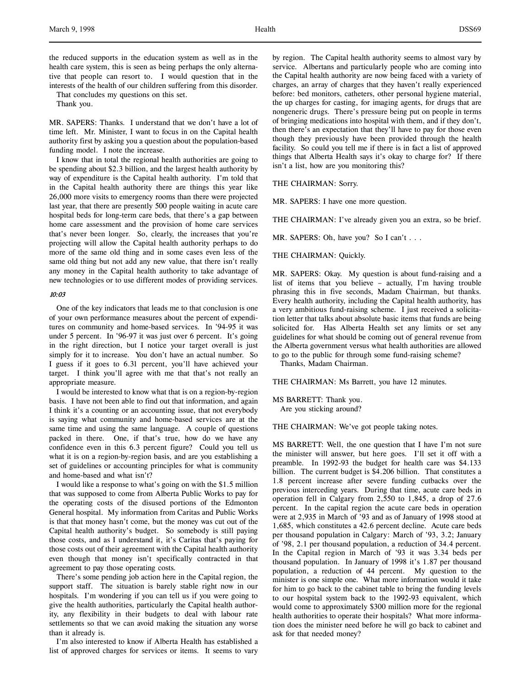the reduced supports in the education system as well as in the health care system, this is seen as being perhaps the only alternative that people can resort to. I would question that in the interests of the health of our children suffering from this disorder.

That concludes my questions on this set.

Thank you.

MR. SAPERS: Thanks. I understand that we don't have a lot of time left. Mr. Minister, I want to focus in on the Capital health authority first by asking you a question about the population-based funding model. I note the increase.

I know that in total the regional health authorities are going to be spending about \$2.3 billion, and the largest health authority by way of expenditure is the Capital health authority. I'm told that in the Capital health authority there are things this year like 26,000 more visits to emergency rooms than there were projected last year, that there are presently 500 people waiting in acute care hospital beds for long-term care beds, that there's a gap between home care assessment and the provision of home care services that's never been longer. So, clearly, the increases that you're projecting will allow the Capital health authority perhaps to do more of the same old thing and in some cases even less of the same old thing but not add any new value, that there isn't really any money in the Capital health authority to take advantage of new technologies or to use different modes of providing services.

## 10:03

One of the key indicators that leads me to that conclusion is one of your own performance measures about the percent of expenditures on community and home-based services. In '94-95 it was under 5 percent. In '96-97 it was just over 6 percent. It's going in the right direction, but I notice your target overall is just simply for it to increase. You don't have an actual number. So I guess if it goes to 6.31 percent, you'll have achieved your target. I think you'll agree with me that that's not really an appropriate measure.

I would be interested to know what that is on a region-by-region basis. I have not been able to find out that information, and again I think it's a counting or an accounting issue, that not everybody is saying what community and home-based services are at the same time and using the same language. A couple of questions packed in there. One, if that's true, how do we have any confidence even in this 6.3 percent figure? Could you tell us what it is on a region-by-region basis, and are you establishing a set of guidelines or accounting principles for what is community and home-based and what isn't?

I would like a response to what's going on with the \$1.5 million that was supposed to come from Alberta Public Works to pay for the operating costs of the disused portions of the Edmonton General hospital. My information from Caritas and Public Works is that that money hasn't come, but the money was cut out of the Capital health authority's budget. So somebody is still paying those costs, and as I understand it, it's Caritas that's paying for those costs out of their agreement with the Capital health authority even though that money isn't specifically contracted in that agreement to pay those operating costs.

There's some pending job action here in the Capital region, the support staff. The situation is barely stable right now in our hospitals. I'm wondering if you can tell us if you were going to give the health authorities, particularly the Capital health authority, any flexibility in their budgets to deal with labour rate settlements so that we can avoid making the situation any worse than it already is.

I'm also interested to know if Alberta Health has established a list of approved charges for services or items. It seems to vary

by region. The Capital health authority seems to almost vary by service. Albertans and particularly people who are coming into the Capital health authority are now being faced with a variety of charges, an array of charges that they haven't really experienced before: bed monitors, catheters, other personal hygiene material, the up charges for casting, for imaging agents, for drugs that are nongeneric drugs. There's pressure being put on people in terms of bringing medications into hospital with them, and if they don't, then there's an expectation that they'll have to pay for those even though they previously have been provided through the health facility. So could you tell me if there is in fact a list of approved things that Alberta Health says it's okay to charge for? If there isn't a list, how are you monitoring this?

#### THE CHAIRMAN: Sorry.

MR. SAPERS: I have one more question.

THE CHAIRMAN: I've already given you an extra, so be brief.

MR. SAPERS: Oh, have you? So I can't . . .

## THE CHAIRMAN: Quickly.

MR. SAPERS: Okay. My question is about fund-raising and a list of items that you believe – actually, I'm having trouble phrasing this in five seconds, Madam Chairman, but thanks. Every health authority, including the Capital health authority, has a very ambitious fund-raising scheme. I just received a solicitation letter that talks about absolute basic items that funds are being solicited for. Has Alberta Health set any limits or set any guidelines for what should be coming out of general revenue from the Alberta government versus what health authorities are allowed to go to the public for through some fund-raising scheme?

Thanks, Madam Chairman.

THE CHAIRMAN: Ms Barrett, you have 12 minutes.

MS BARRETT: Thank you. Are you sticking around?

THE CHAIRMAN: We've got people taking notes.

MS BARRETT: Well, the one question that I have I'm not sure the minister will answer, but here goes. I'll set it off with a preamble. In 1992-93 the budget for health care was \$4.133 billion. The current budget is \$4.206 billion. That constitutes a 1.8 percent increase after severe funding cutbacks over the previous interceding years. During that time, acute care beds in operation fell in Calgary from 2,550 to 1,845, a drop of 27.6 percent. In the capital region the acute care beds in operation were at 2,935 in March of '93 and as of January of 1998 stood at 1,685, which constitutes a 42.6 percent decline. Acute care beds per thousand population in Calgary: March of '93, 3.2; January of '98, 2.1 per thousand population, a reduction of 34.4 percent. In the Capital region in March of '93 it was 3.34 beds per thousand population. In January of 1998 it's 1.87 per thousand population, a reduction of 44 percent. My question to the minister is one simple one. What more information would it take for him to go back to the cabinet table to bring the funding levels to our hospital system back to the 1992-93 equivalent, which would come to approximately \$300 million more for the regional health authorities to operate their hospitals? What more information does the minister need before he will go back to cabinet and ask for that needed money?